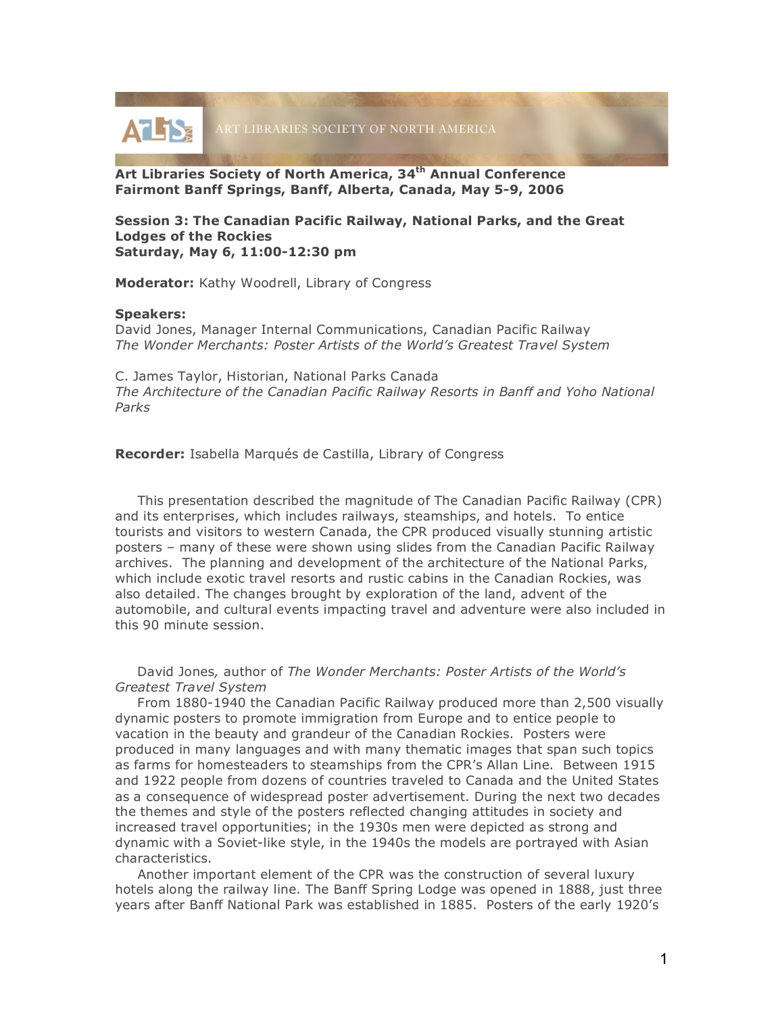

**Art Libraries Society of North America, 34th Annual Conference Fairmont Banff Springs, Banff, Alberta, Canada, May 5-9, 2006**

## **Session 3: The Canadian Pacific Railway, National Parks, and the Great Lodges of the Rockies Saturday, May 6, 11:00-12:30 pm**

**Moderator:** Kathy Woodrell, Library of Congress

## **Speakers:**

David Jones, Manager Internal Communications, Canadian Pacific Railway *The Wonder Merchants: Poster Artists of the World's Greatest Travel System*

C. James Taylor, Historian, National Parks Canada *The Architecture of the Canadian Pacific Railway Resorts in Banff and Yoho National Parks*

**Recorder:** Isabella Marqués de Castilla, Library of Congress

This presentation described the magnitude of The Canadian Pacific Railway (CPR) and its enterprises, which includes railways, steamships, and hotels. To entice tourists and visitors to western Canada, the CPR produced visually stunning artistic posters – many of these were shown using slides from the Canadian Pacific Railway archives. The planning and development of the architecture of the National Parks, which include exotic travel resorts and rustic cabins in the Canadian Rockies, was also detailed. The changes brought by exploration of the land, advent of the automobile, and cultural events impacting travel and adventure were also included in this 90 minute session.

David Jones*,* author of *The Wonder Merchants: Poster Artists of the World's Greatest Travel System*

From 1880-1940 the Canadian Pacific Railway produced more than 2,500 visually dynamic posters to promote immigration from Europe and to entice people to vacation in the beauty and grandeur of the Canadian Rockies. Posters were produced in many languages and with many thematic images that span such topics as farms for homesteaders to steamships from the CPR's Allan Line. Between 1915 and 1922 people from dozens of countries traveled to Canada and the United States as a consequence of widespread poster advertisement. During the next two decades the themes and style of the posters reflected changing attitudes in society and increased travel opportunities; in the 1930s men were depicted as strong and dynamic with a Soviet-like style, in the 1940s the models are portrayed with Asian characteristics.

Another important element of the CPR was the construction of several luxury hotels along the railway line. The Banff Spring Lodge was opened in 1888, just three years after Banff National Park was established in 1885. Posters of the early 1920's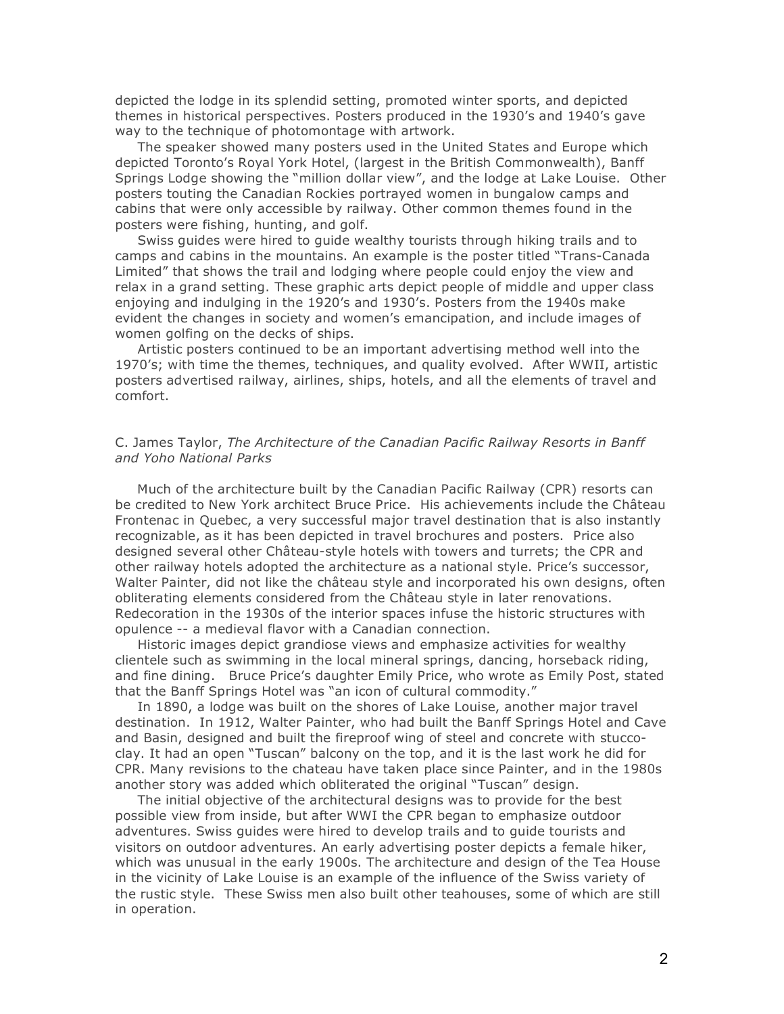depicted the lodge in its splendid setting, promoted winter sports, and depicted themes in historical perspectives. Posters produced in the 1930's and 1940's gave way to the technique of photomontage with artwork.

The speaker showed many posters used in the United States and Europe which depicted Toronto's Royal York Hotel, (largest in the British Commonwealth), Banff Springs Lodge showing the "million dollar view", and the lodge at Lake Louise. Other posters touting the Canadian Rockies portrayed women in bungalow camps and cabins that were only accessible by railway. Other common themes found in the posters were fishing, hunting, and golf.

Swiss guides were hired to guide wealthy tourists through hiking trails and to camps and cabins in the mountains. An example is the poster titled "Trans-Canada Limited" that shows the trail and lodging where people could enjoy the view and relax in a grand setting. These graphic arts depict people of middle and upper class enjoying and indulging in the 1920's and 1930's. Posters from the 1940s make evident the changes in society and women's emancipation, and include images of women golfing on the decks of ships.

Artistic posters continued to be an important advertising method well into the 1970's; with time the themes, techniques, and quality evolved. After WWII, artistic posters advertised railway, airlines, ships, hotels, and all the elements of travel and comfort.

## C. James Taylor, *The Architecture of the Canadian Pacific Railway Resorts in Banff and Yoho National Parks*

Much of the architecture built by the Canadian Pacific Railway (CPR) resorts can be credited to New York architect Bruce Price. His achievements include the Château Frontenac in Quebec, a very successful major travel destination that is also instantly recognizable, as it has been depicted in travel brochures and posters. Price also designed several other Château-style hotels with towers and turrets; the CPR and other railway hotels adopted the architecture as a national style. Price's successor, Walter Painter, did not like the château style and incorporated his own designs, often obliterating elements considered from the Château style in later renovations. Redecoration in the 1930s of the interior spaces infuse the historic structures with opulence -- a medieval flavor with a Canadian connection.

Historic images depict grandiose views and emphasize activities for wealthy clientele such as swimming in the local mineral springs, dancing, horseback riding, and fine dining. Bruce Price's daughter Emily Price, who wrote as Emily Post, stated that the Banff Springs Hotel was "an icon of cultural commodity."

In 1890, a lodge was built on the shores of Lake Louise, another major travel destination. In 1912, Walter Painter, who had built the Banff Springs Hotel and Cave and Basin, designed and built the fireproof wing of steel and concrete with stuccoclay. It had an open "Tuscan" balcony on the top, and it is the last work he did for CPR. Many revisions to the chateau have taken place since Painter, and in the 1980s another story was added which obliterated the original "Tuscan" design.

The initial objective of the architectural designs was to provide for the best possible view from inside, but after WWI the CPR began to emphasize outdoor adventures. Swiss guides were hired to develop trails and to guide tourists and visitors on outdoor adventures. An early advertising poster depicts a female hiker, which was unusual in the early 1900s. The architecture and design of the Tea House in the vicinity of Lake Louise is an example of the influence of the Swiss variety of the rustic style. These Swiss men also built other teahouses, some of which are still in operation.